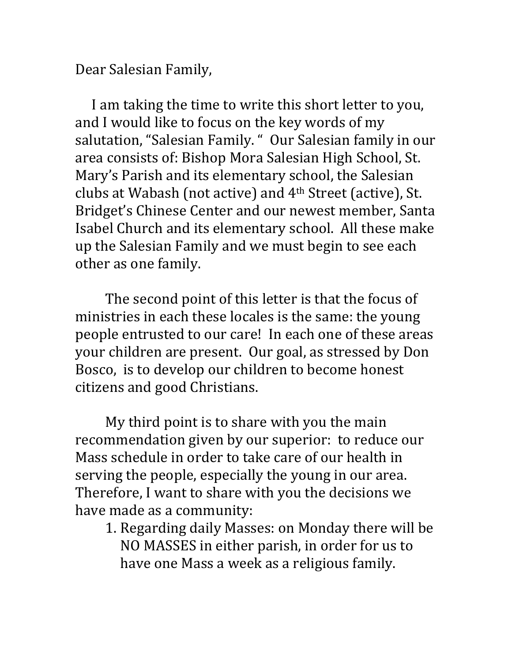Dear Salesian Family,

 I am taking the time to write this short letter to you, and I would like to focus on the key words of my salutation, "Salesian Family. " Our Salesian family in our area consists of: Bishop Mora Salesian High School, St. Mary's Parish and its elementary school, the Salesian clubs at Wabash (not active) and 4th Street (active), St. Bridget's Chinese Center and our newest member, Santa Isabel Church and its elementary school. All these make up the Salesian Family and we must begin to see each other as one family.

 The second point of this letter is that the focus of ministries in each these locales is the same: the young people entrusted to our care! In each one of these areas your children are present. Our goal, as stressed by Don Bosco, is to develop our children to become honest citizens and good Christians.

 My third point is to share with you the main recommendation given by our superior: to reduce our Mass schedule in order to take care of our health in serving the people, especially the young in our area. Therefore, I want to share with you the decisions we have made as a community:

1. Regarding daily Masses: on Monday there will be NO MASSES in either parish, in order for us to have one Mass a week as a religious family.